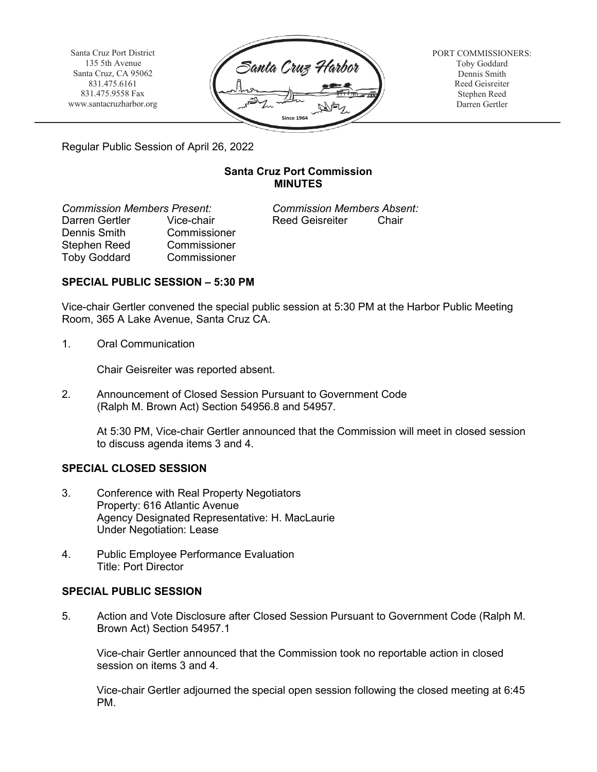Santa Cruz Port District 135 5th Avenue Santa Cruz, CA 95062 831.475.6161 831.475.9558 Fax [www.santacruzharbor.org](http://www.santacruzharbor.org/)



PORT COMMISSIONERS: Toby Goddard Dennis Smith Reed Geisreiter Stephen Reed Darren Gertler

Regular Public Session of April 26, 2022

# **Santa Cruz Port Commission MINUTES**

*Commission Members Present: Commission Members Absent:* Dennis Smith Commissioner Stephen Reed Commissioner Toby Goddard Commissioner

Vice-chair **Reed Geisreiter** Chair

# **SPECIAL PUBLIC SESSION – 5:30 PM**

Vice-chair Gertler convened the special public session at 5:30 PM at the Harbor Public Meeting Room, 365 A Lake Avenue, Santa Cruz CA.

1. Oral Communication

Chair Geisreiter was reported absent.

2. Announcement of Closed Session Pursuant to Government Code (Ralph M. Brown Act) Section 54956.8 and 54957.

At 5:30 PM, Vice-chair Gertler announced that the Commission will meet in closed session to discuss agenda items 3 and 4.

## **SPECIAL CLOSED SESSION**

- 3. Conference with Real Property Negotiators Property: 616 Atlantic Avenue Agency Designated Representative: H. MacLaurie Under Negotiation: Lease
- 4. Public Employee Performance Evaluation Title: Port Director

## **SPECIAL PUBLIC SESSION**

5. Action and Vote Disclosure after Closed Session Pursuant to Government Code (Ralph M. Brown Act) Section 54957.1

Vice-chair Gertler announced that the Commission took no reportable action in closed session on items 3 and 4.

Vice-chair Gertler adjourned the special open session following the closed meeting at 6:45 PM.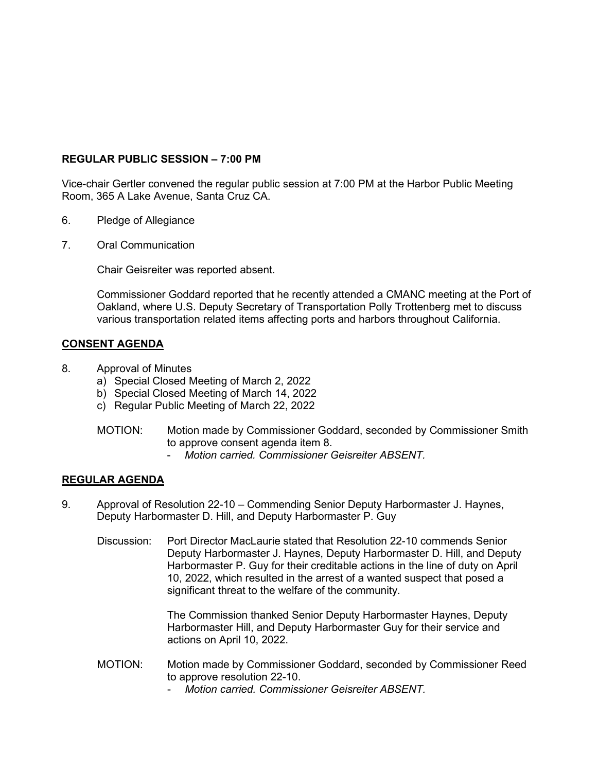### **REGULAR PUBLIC SESSION – 7:00 PM**

Vice-chair Gertler convened the regular public session at 7:00 PM at the Harbor Public Meeting Room, 365 A Lake Avenue, Santa Cruz CA.

- 6. Pledge of Allegiance
- 7. Oral Communication

Chair Geisreiter was reported absent.

Commissioner Goddard reported that he recently attended a CMANC meeting at the Port of Oakland, where U.S. Deputy Secretary of Transportation Polly Trottenberg met to discuss various transportation related items affecting ports and harbors throughout California.

### **CONSENT AGENDA**

- 8. Approval of Minutes
	- a) Special Closed Meeting of March 2, 2022
	- b) Special Closed Meeting of March 14, 2022
	- c) Regular Public Meeting of March 22, 2022
	- MOTION: Motion made by Commissioner Goddard, seconded by Commissioner Smith to approve consent agenda item 8.
		- *Motion carried. Commissioner Geisreiter ABSENT.*

## **REGULAR AGENDA**

- 9. Approval of Resolution 22-10 Commending Senior Deputy Harbormaster J. Haynes, Deputy Harbormaster D. Hill, and Deputy Harbormaster P. Guy
	- Discussion: Port Director MacLaurie stated that Resolution 22-10 commends Senior Deputy Harbormaster J. Haynes, Deputy Harbormaster D. Hill, and Deputy Harbormaster P. Guy for their creditable actions in the line of duty on April 10, 2022, which resulted in the arrest of a wanted suspect that posed a significant threat to the welfare of the community.

The Commission thanked Senior Deputy Harbormaster Haynes, Deputy Harbormaster Hill, and Deputy Harbormaster Guy for their service and actions on April 10, 2022.

- MOTION: Motion made by Commissioner Goddard, seconded by Commissioner Reed to approve resolution 22-10.
	- *Motion carried. Commissioner Geisreiter ABSENT.*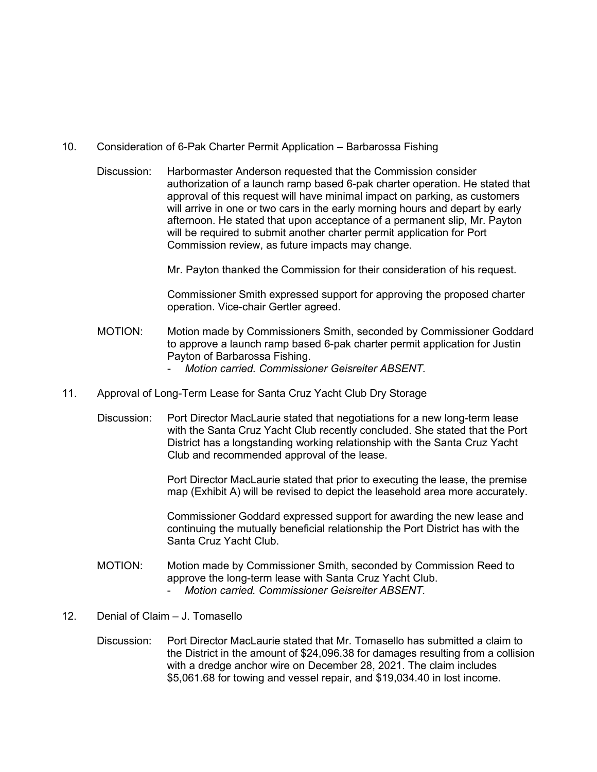- 10. Consideration of 6-Pak Charter Permit Application Barbarossa Fishing
	- Discussion: Harbormaster Anderson requested that the Commission consider authorization of a launch ramp based 6-pak charter operation. He stated that approval of this request will have minimal impact on parking, as customers will arrive in one or two cars in the early morning hours and depart by early afternoon. He stated that upon acceptance of a permanent slip, Mr. Payton will be required to submit another charter permit application for Port Commission review, as future impacts may change.

Mr. Payton thanked the Commission for their consideration of his request.

Commissioner Smith expressed support for approving the proposed charter operation. Vice-chair Gertler agreed.

- MOTION: Motion made by Commissioners Smith, seconded by Commissioner Goddard to approve a launch ramp based 6-pak charter permit application for Justin Payton of Barbarossa Fishing.
	- *Motion carried. Commissioner Geisreiter ABSENT.*
- 11. Approval of Long-Term Lease for Santa Cruz Yacht Club Dry Storage
	- Discussion: Port Director MacLaurie stated that negotiations for a new long-term lease with the Santa Cruz Yacht Club recently concluded. She stated that the Port District has a longstanding working relationship with the Santa Cruz Yacht Club and recommended approval of the lease.

Port Director MacLaurie stated that prior to executing the lease, the premise map (Exhibit A) will be revised to depict the leasehold area more accurately.

Commissioner Goddard expressed support for awarding the new lease and continuing the mutually beneficial relationship the Port District has with the Santa Cruz Yacht Club.

- MOTION: Motion made by Commissioner Smith, seconded by Commission Reed to approve the long-term lease with Santa Cruz Yacht Club. - *Motion carried. Commissioner Geisreiter ABSENT.*
- 12. Denial of Claim J. Tomasello
	- Discussion: Port Director MacLaurie stated that Mr. Tomasello has submitted a claim to the District in the amount of \$24,096.38 for damages resulting from a collision with a dredge anchor wire on December 28, 2021. The claim includes \$5,061.68 for towing and vessel repair, and \$19,034.40 in lost income.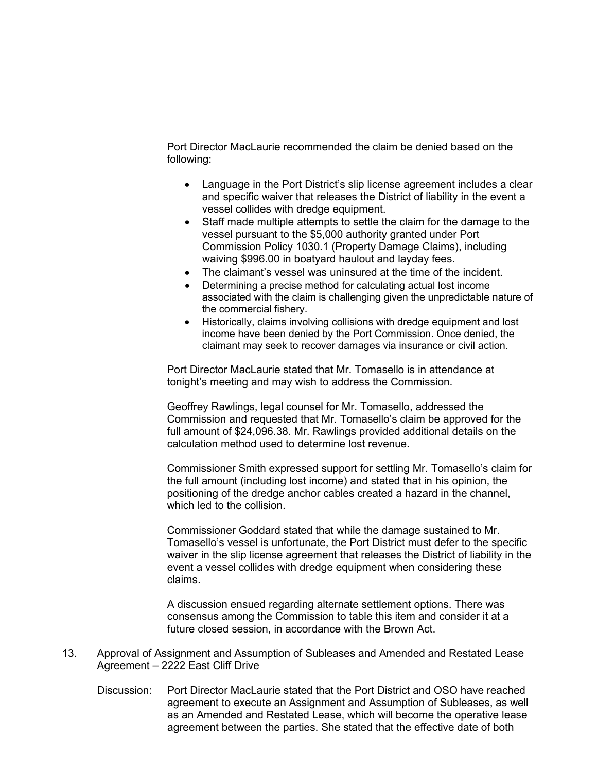Port Director MacLaurie recommended the claim be denied based on the following:

- Language in the Port District's slip license agreement includes a clear and specific waiver that releases the District of liability in the event a vessel collides with dredge equipment.
- Staff made multiple attempts to settle the claim for the damage to the vessel pursuant to the \$5,000 authority granted under Port Commission Policy 1030.1 (Property Damage Claims), including waiving \$996.00 in boatyard haulout and layday fees.
- The claimant's vessel was uninsured at the time of the incident.
- Determining a precise method for calculating actual lost income associated with the claim is challenging given the unpredictable nature of the commercial fishery.
- Historically, claims involving collisions with dredge equipment and lost income have been denied by the Port Commission. Once denied, the claimant may seek to recover damages via insurance or civil action.

Port Director MacLaurie stated that Mr. Tomasello is in attendance at tonight's meeting and may wish to address the Commission.

Geoffrey Rawlings, legal counsel for Mr. Tomasello, addressed the Commission and requested that Mr. Tomasello's claim be approved for the full amount of \$24,096.38. Mr. Rawlings provided additional details on the calculation method used to determine lost revenue.

Commissioner Smith expressed support for settling Mr. Tomasello's claim for the full amount (including lost income) and stated that in his opinion, the positioning of the dredge anchor cables created a hazard in the channel, which led to the collision.

Commissioner Goddard stated that while the damage sustained to Mr. Tomasello's vessel is unfortunate, the Port District must defer to the specific waiver in the slip license agreement that releases the District of liability in the event a vessel collides with dredge equipment when considering these claims.

A discussion ensued regarding alternate settlement options. There was consensus among the Commission to table this item and consider it at a future closed session, in accordance with the Brown Act.

- 13. Approval of Assignment and Assumption of Subleases and Amended and Restated Lease Agreement – 2222 East Cliff Drive
	- Discussion: Port Director MacLaurie stated that the Port District and OSO have reached agreement to execute an Assignment and Assumption of Subleases, as well as an Amended and Restated Lease, which will become the operative lease agreement between the parties. She stated that the effective date of both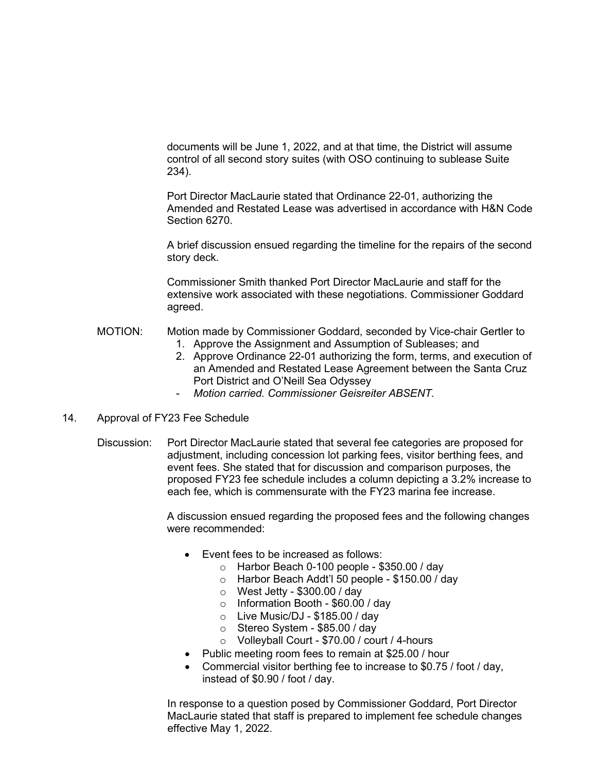documents will be June 1, 2022, and at that time, the District will assume control of all second story suites (with OSO continuing to sublease Suite 234).

Port Director MacLaurie stated that Ordinance 22-01, authorizing the Amended and Restated Lease was advertised in accordance with H&N Code Section 6270.

A brief discussion ensued regarding the timeline for the repairs of the second story deck.

Commissioner Smith thanked Port Director MacLaurie and staff for the extensive work associated with these negotiations. Commissioner Goddard agreed.

- MOTION: Motion made by Commissioner Goddard, seconded by Vice-chair Gertler to 1. Approve the Assignment and Assumption of Subleases; and
	- 2. Approve Ordinance 22-01 authorizing the form, terms, and execution of an Amended and Restated Lease Agreement between the Santa Cruz Port District and O'Neill Sea Odyssey
	- *Motion carried. Commissioner Geisreiter ABSENT.*
- 14. Approval of FY23 Fee Schedule
	- Discussion: Port Director MacLaurie stated that several fee categories are proposed for adjustment, including concession lot parking fees, visitor berthing fees, and event fees. She stated that for discussion and comparison purposes, the proposed FY23 fee schedule includes a column depicting a 3.2% increase to each fee, which is commensurate with the FY23 marina fee increase.

A discussion ensued regarding the proposed fees and the following changes were recommended:

- Event fees to be increased as follows:
	- $\circ$  Harbor Beach 0-100 people \$350.00 / day
	- o Harbor Beach Addt'l 50 people \$150.00 / day
	- o West Jetty \$300.00 / day
	- o Information Booth \$60.00 / day
	- $\circ$  Live Music/DJ \$185.00 / day
	- o Stereo System \$85.00 / day
	- o Volleyball Court \$70.00 / court / 4-hours
- Public meeting room fees to remain at \$25.00 / hour
- Commercial visitor berthing fee to increase to \$0.75 / foot / day, instead of \$0.90 / foot / day.

In response to a question posed by Commissioner Goddard, Port Director MacLaurie stated that staff is prepared to implement fee schedule changes effective May 1, 2022.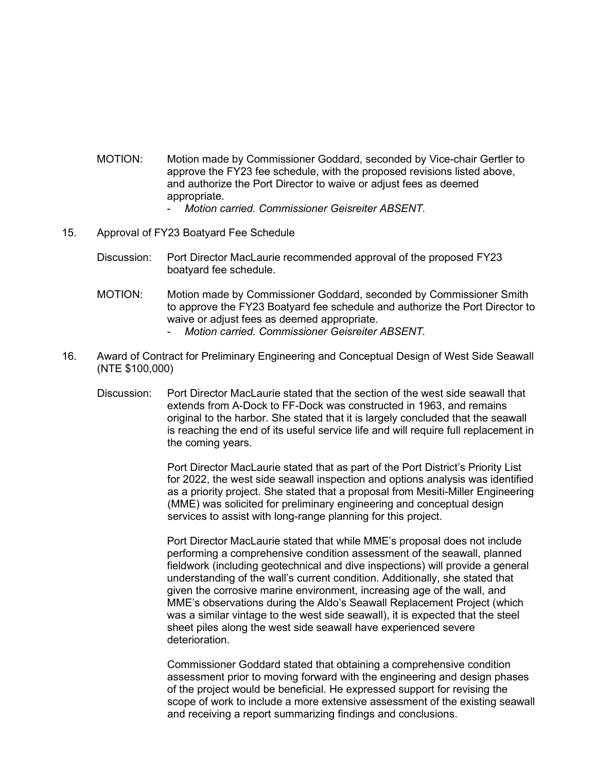- MOTION: Motion made by Commissioner Goddard, seconded by Vice-chair Gertler to approve the FY23 fee schedule, with the proposed revisions listed above, and authorize the Port Director to waive or adjust fees as deemed appropriate.
	- *Motion carried. Commissioner Geisreiter ABSENT.*
- 15. Approval of FY23 Boatyard Fee Schedule
	- Discussion: Port Director MacLaurie recommended approval of the proposed FY23 boatyard fee schedule.
	- MOTION: Motion made by Commissioner Goddard, seconded by Commissioner Smith to approve the FY23 Boatyard fee schedule and authorize the Port Director to waive or adiust fees as deemed appropriate.
		- *Motion carried. Commissioner Geisreiter ABSENT.*
- 16. Award of Contract for Preliminary Engineering and Conceptual Design of West Side Seawall (NTE \$100,000)
	- Discussion: Port Director MacLaurie stated that the section of the west side seawall that extends from A-Dock to FF-Dock was constructed in 1963, and remains original to the harbor. She stated that it is largely concluded that the seawall is reaching the end of its useful service life and will require full replacement in the coming years.

Port Director MacLaurie stated that as part of the Port District's Priority List for 2022, the west side seawall inspection and options analysis was identified as a priority project. She stated that a proposal from Mesiti-Miller Engineering (MME) was solicited for preliminary engineering and conceptual design services to assist with long-range planning for this project.

Port Director MacLaurie stated that while MME's proposal does not include performing a comprehensive condition assessment of the seawall, planned fieldwork (including geotechnical and dive inspections) will provide a general understanding of the wall's current condition. Additionally, she stated that given the corrosive marine environment, increasing age of the wall, and MME's observations during the Aldo's Seawall Replacement Project (which was a similar vintage to the west side seawall), it is expected that the steel sheet piles along the west side seawall have experienced severe deterioration.

Commissioner Goddard stated that obtaining a comprehensive condition assessment prior to moving forward with the engineering and design phases of the project would be beneficial. He expressed support for revising the scope of work to include a more extensive assessment of the existing seawall and receiving a report summarizing findings and conclusions.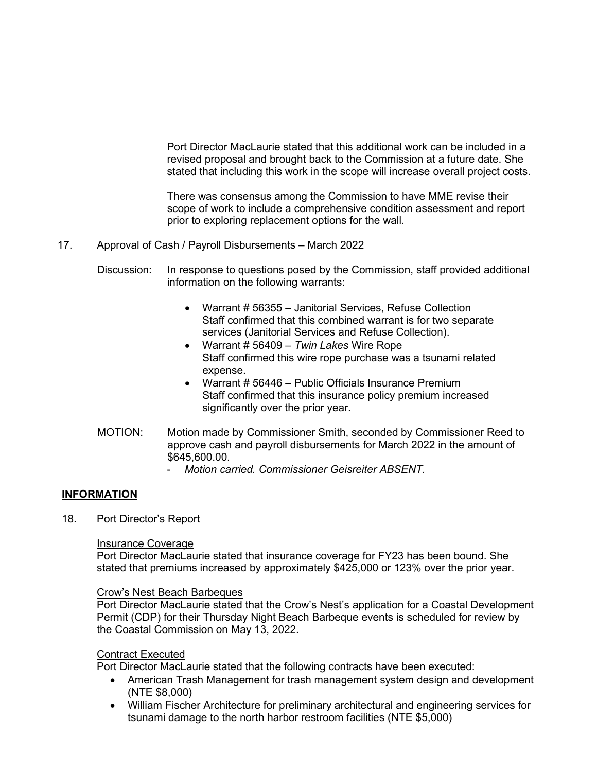Port Director MacLaurie stated that this additional work can be included in a revised proposal and brought back to the Commission at a future date. She stated that including this work in the scope will increase overall project costs.

There was consensus among the Commission to have MME revise their scope of work to include a comprehensive condition assessment and report prior to exploring replacement options for the wall*.* 

- 17. Approval of Cash / Payroll Disbursements March 2022
	- Discussion: In response to questions posed by the Commission, staff provided additional information on the following warrants:
		- Warrant # 56355 Janitorial Services, Refuse Collection Staff confirmed that this combined warrant is for two separate services (Janitorial Services and Refuse Collection).
		- Warrant # 56409 *Twin Lakes* Wire Rope Staff confirmed this wire rope purchase was a tsunami related expense.
		- Warrant # 56446 Public Officials Insurance Premium Staff confirmed that this insurance policy premium increased significantly over the prior year.
	- MOTION: Motion made by Commissioner Smith, seconded by Commissioner Reed to approve cash and payroll disbursements for March 2022 in the amount of \$645,600.00.
		- *Motion carried. Commissioner Geisreiter ABSENT.*

## **INFORMATION**

18. Port Director's Report

#### Insurance Coverage

Port Director MacLaurie stated that insurance coverage for FY23 has been bound. She stated that premiums increased by approximately \$425,000 or 123% over the prior year.

#### Crow's Nest Beach Barbeques

Port Director MacLaurie stated that the Crow's Nest's application for a Coastal Development Permit (CDP) for their Thursday Night Beach Barbeque events is scheduled for review by the Coastal Commission on May 13, 2022.

#### Contract Executed

Port Director MacLaurie stated that the following contracts have been executed:

- American Trash Management for trash management system design and development (NTE \$8,000)
- William Fischer Architecture for preliminary architectural and engineering services for tsunami damage to the north harbor restroom facilities (NTE \$5,000)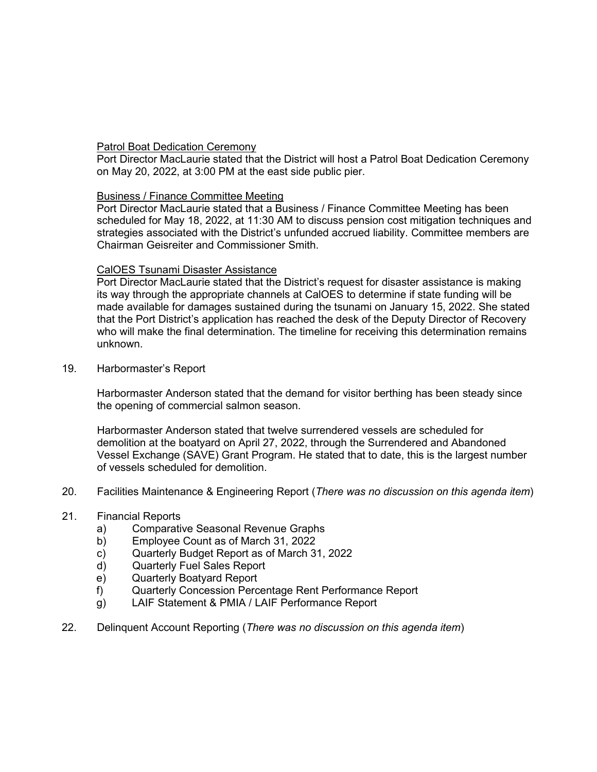### Patrol Boat Dedication Ceremony

Port Director MacLaurie stated that the District will host a Patrol Boat Dedication Ceremony on May 20, 2022, at 3:00 PM at the east side public pier.

### Business / Finance Committee Meeting

Port Director MacLaurie stated that a Business / Finance Committee Meeting has been scheduled for May 18, 2022, at 11:30 AM to discuss pension cost mitigation techniques and strategies associated with the District's unfunded accrued liability. Committee members are Chairman Geisreiter and Commissioner Smith.

### CalOES Tsunami Disaster Assistance

Port Director MacLaurie stated that the District's request for disaster assistance is making its way through the appropriate channels at CalOES to determine if state funding will be made available for damages sustained during the tsunami on January 15, 2022. She stated that the Port District's application has reached the desk of the Deputy Director of Recovery who will make the final determination. The timeline for receiving this determination remains unknown.

19. Harbormaster's Report

Harbormaster Anderson stated that the demand for visitor berthing has been steady since the opening of commercial salmon season.

Harbormaster Anderson stated that twelve surrendered vessels are scheduled for demolition at the boatyard on April 27, 2022, through the Surrendered and Abandoned Vessel Exchange (SAVE) Grant Program. He stated that to date, this is the largest number of vessels scheduled for demolition.

20. Facilities Maintenance & Engineering Report (*There was no discussion on this agenda item*)

# 21. Financial Reports

- a) Comparative Seasonal Revenue Graphs<br>b) Employee Count as of March 31, 2022
- b) Employee Count as of March 31, 2022
- c) Quarterly Budget Report as of March 31, 2022
- d) Quarterly Fuel Sales Report
- e) Quarterly Boatyard Report
- f) Quarterly Concession Percentage Rent Performance Report
- g) LAIF Statement & PMIA / LAIF Performance Report
- 22. Delinquent Account Reporting (*There was no discussion on this agenda item*)